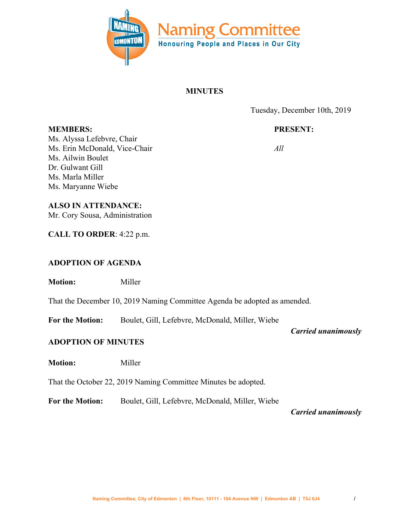

## **MINUTES**

Tuesday, December 10th, 2019

# **PRESENT:**

*All*

**MEMBERS:** Ms. Alyssa Lefebvre, Chair Ms. Erin McDonald, Vice-Chair Ms. Ailwin Boulet Dr. Gulwant Gill Ms. Marla Miller Ms. Maryanne Wiebe

### **ALSO IN ATTENDANCE:**

Mr. Cory Sousa, Administration

**CALL TO ORDER**: 4:22 p.m.

# **ADOPTION OF AGENDA**

**Motion:** Miller

That the December 10, 2019 Naming Committee Agenda be adopted as amended.

**For the Motion:** Boulet, Gill, Lefebvre, McDonald, Miller, Wiebe

*Carried unanimously*

### **ADOPTION OF MINUTES**

**Motion:** Miller

That the October 22, 2019 Naming Committee Minutes be adopted.

**For the Motion:** Boulet, Gill, Lefebvre, McDonald, Miller, Wiebe

*Carried unanimously*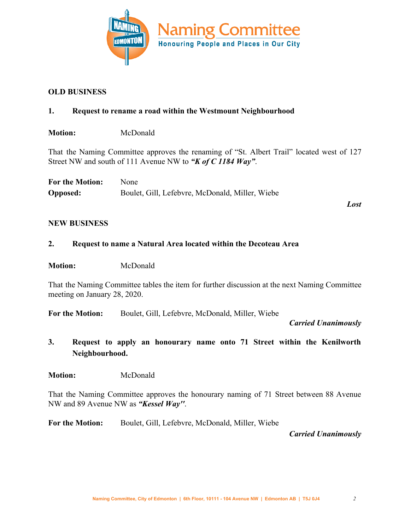

### **OLD BUSINESS**

### **1. Request to rename a road within the Westmount Neighbourhood**

**Motion:** McDonald

That the Naming Committee approves the renaming of "St. Albert Trail" located west of 127 Street NW and south of 111 Avenue NW to *"K of C 1184 Way"*.

| <b>For the Motion:</b> | <b>None</b>                                     |
|------------------------|-------------------------------------------------|
| <b>Opposed:</b>        | Boulet, Gill, Lefebvre, McDonald, Miller, Wiebe |

*Lost*

#### **NEW BUSINESS**

#### **2. Request to name a Natural Area located within the Decoteau Area**

**Motion:** McDonald

That the Naming Committee tables the item for further discussion at the next Naming Committee meeting on January 28, 2020.

**For the Motion:** Boulet, Gill, Lefebvre, McDonald, Miller, Wiebe

*Carried Unanimously*

**3. Request to apply an honourary name onto 71 Street within the Kenilworth Neighbourhood.**

**Motion:** McDonald

That the Naming Committee approves the honourary naming of 71 Street between 88 Avenue NW and 89 Avenue NW as *"Kessel Way''*.

**For the Motion:** Boulet, Gill, Lefebvre, McDonald, Miller, Wiebe

*Carried Unanimously*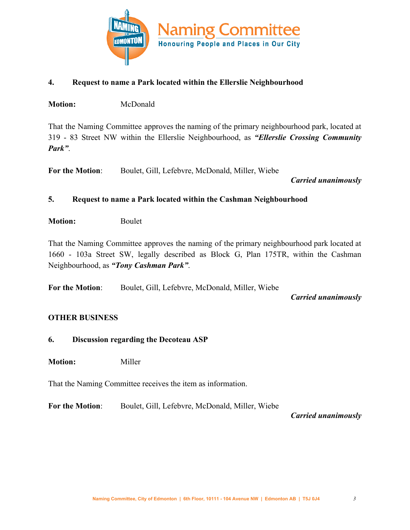

### **4. Request to name a Park located within the Ellerslie Neighbourhood**

**Motion:** McDonald

That the Naming Committee approves the naming of the primary neighbourhood park, located at 319 - 83 Street NW within the Ellerslie Neighbourhood, as *"Ellerslie Crossing Community Park"*.

**For the Motion**: Boulet, Gill, Lefebvre, McDonald, Miller, Wiebe

*Carried unanimously*

### **5. Request to name a Park located within the Cashman Neighbourhood**

**Motion:** Boulet

That the Naming Committee approves the naming of the primary neighbourhood park located at 1660 - 103a Street SW, legally described as Block G, Plan 175TR, within the Cashman Neighbourhood, as *"Tony Cashman Park"*.

**For the Motion**: Boulet, Gill, Lefebvre, McDonald, Miller, Wiebe

*Carried unanimously*

### **OTHER BUSINESS**

### **6. Discussion regarding the Decoteau ASP**

**Motion:** Miller

That the Naming Committee receives the item as information.

**For the Motion**: Boulet, Gill, Lefebvre, McDonald, Miller, Wiebe

*Carried unanimously*